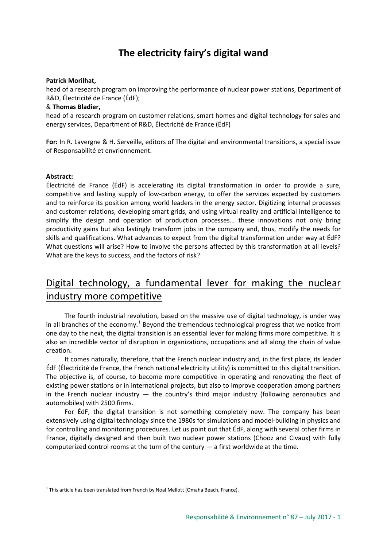# **The electricity fairy's digital wand**

### **Patrick Morilhat,**

head of a research program on improving the performance of nuclear power stations, Department of R&D, Électricité de France (ÉdF);

### & **Thomas Bladier,**

head of a research program on customer relations, smart homes and digital technology for sales and energy services, Department of R&D, Électricité de France (ÉdF)

**For:** In R. Lavergne & H. Serveille, editors of The digital and environmental transitions, a special issue of Responsabilité et envrionnement.

#### **Abstract:**

Électricité de France (ÉdF) is accelerating its digital transformation in order to provide a sure, competitive and lasting supply of low-carbon energy, to offer the services expected by customers and to reinforce its position among world leaders in the energy sector. Digitizing internal processes and customer relations, developing smart grids, and using virtual reality and artificial intelligence to simplify the design and operation of production processes… these innovations not only bring productivity gains but also lastingly transform jobs in the company and, thus, modify the needs for skills and qualifications. What advances to expect from the digital transformation under way at ÉdF? What questions will arise? How to involve the persons affected by this transformation at all levels? What are the keys to success, and the factors of risk?

## Digital technology, a fundamental lever for making the nuclear industry more competitive

The fourth industrial revolution, based on the massive use of digital technology, is under way in all branches of the economy.<sup>[1](#page-0-0)</sup> Beyond the tremendous technological progress that we notice from one day to the next, the digital transition is an essential lever for making firms more competitive. It is also an incredible vector of disruption in organizations, occupations and all along the chain of value creation.

It comes naturally, therefore, that the French nuclear industry and, in the first place, its leader ÉdF (Électricité de France, the French national electricity utility) is committed to this digital transition. The objective is, of course, to become more competitive in operating and renovating the fleet of existing power stations or in international projects, but also to improve cooperation among partners in the French nuclear industry  $-$  the country's third major industry (following aeronautics and automobiles) with 2500 firms.

For ÉdF, the digital transition is not something completely new. The company has been extensively using digital technology since the 1980s for simulations and model-building in physics and for controlling and monitoring procedures. Let us point out that ÉdF, along with several other firms in France, digitally designed and then built two nuclear power stations (Chooz and Civaux) with fully computerized control rooms at the turn of the century — a first worldwide at the time.

<span id="page-0-0"></span> $1$  This article has been translated from French by Noal Mellott (Omaha Beach, France).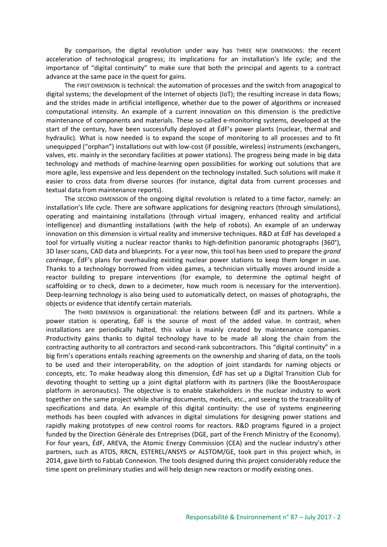By comparison, the digital revolution under way has THREE NEW DIMENSIONS: the recent acceleration of technological progress; its implications for an installation's life cycle; and the importance of "digital continuity" to make sure that both the principal and agents to a contract advance at the same pace in the quest for gains.

The FIRST DIMENSION is technical: the automation of processes and the switch from anagogical to digital systems; the development of the Internet of objects (IoT); the resulting increase in data flows; and the strides made in artificial intelligence, whether due to the power of algorithms or increased computational intensity. An example of a current innovation on this dimension is the predictive maintenance of components and materials. These so-called e-monitoring systems, developed at the start of the century, have been successfully deployed at ÉdF's power plants (nuclear, thermal and hydraulic). What is now needed is to expand the scope of monitoring to all processes and to fit unequipped ("orphan") installations out with low-cost (if possible, wireless) instruments (exchangers, valves, etc. mainly in the secondary facilities at power stations). The progress being made in big data technology and methods of machine-learning open possibilities for working out solutions that are more agile, less expensive and less dependent on the technology installed. Such solutions will make it easier to cross data from diverse sources (for instance, digital data from current processes and textual data from maintenance reports).

The SECOND DIMENSION of the ongoing digital revolution is related to a time factor, namely: an installation's life cycle. There are software applications for designing reactors (through simulations), operating and maintaining installations (through virtual imagery, enhanced reality and artificial intelligence) and dismantling installations (with the help of robots). An example of an underway innovation on this dimension is virtual reality and immersive techniques. R&D at ÉdF has developed a tool for virtually visiting a nuclear reactor thanks to high-definition panoramic photographs (360°), 3D laser scans, CAD data and blueprints. For a year now, this tool has been used to prepare the *grand carénage*, ÉdF's plans for overhauling existing nuclear power stations to keep them longer in use. Thanks to a technology borrowed from video games, a technician virtually moves around inside a reactor building to prepare interventions (for example, to determine the optimal height of scaffolding or to check, down to a decimeter, how much room is necessary for the intervention). Deep-learning technology is also being used to automatically detect, on masses of photographs, the objects or evidence that identify certain materials.

The THIRD DIMENSION is organizational: the relations between ÉdF and its partners. While a power station is operating, ÉdF is the source of most of the added value. In contrast, when installations are periodically halted, this value is mainly created by maintenance companies. Productivity gains thanks to digital technology have to be made all along the chain from the contracting authority to all contractors and second-rank subcontractors. This "digital continuity" in a big firm's operations entails reaching agreements on the ownership and sharing of data, on the tools to be used and their interoperability, on the adoption of joint standards for naming objects or concepts, etc. To make headway along this dimension, ÉdF has set up a Digital Transition Club for devoting thought to setting up a joint digital platform with its partners (like the BoostAerospace platform in aeronautics). The objective is to enable stakeholders in the nuclear industry to work together on the same project while sharing documents, models, etc., and seeing to the traceability of specifications and data. An example of this digital continuity: the use of systems engineering methods has been coupled with advances in digital simulations for designing power stations and rapidly making prototypes of new control rooms for reactors. R&D programs figured in a project funded by the Direction Générale des Entreprises (DGE, part of the French Ministry of the Economy). For four years, ÉdF, AREVA, the Atomic Energy Commission (CEA) and the nuclear industry's other partners, such as ATOS, RRCN, ESTEREL/ANSYS or ALSTOM/GE, took part in this project which, in 2014, gave birth to FabLab Connexion. The tools designed during this project considerably reduce the time spent on preliminary studies and will help design new reactors or modify existing ones.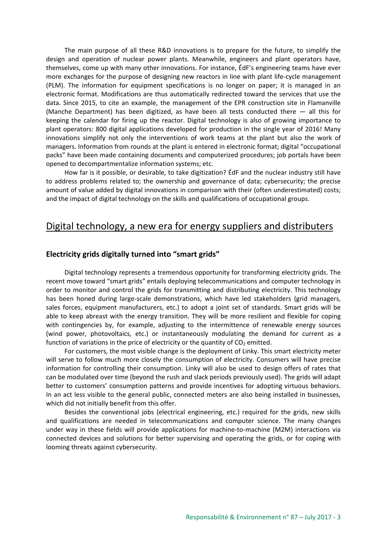The main purpose of all these R&D innovations is to prepare for the future, to simplify the design and operation of nuclear power plants. Meanwhile, engineers and plant operators have, themselves, come up with many other innovations. For instance, ÉdF's engineering teams have ever more exchanges for the purpose of designing new reactors in line with plant life-cycle management (PLM). The information for equipment specifications is no longer on paper; it is managed in an electronic format. Modifications are thus automatically redirected toward the services that use the data. Since 2015, to cite an example, the management of the EPR construction site in Flamanville (Manche Department) has been digitized, as have been all tests conducted there — all this for keeping the calendar for firing up the reactor. Digital technology is also of growing importance to plant operators: 800 digital applications developed for production in the single year of 2016! Many innovations simplify not only the interventions of work teams at the plant but also the work of managers. Information from rounds at the plant is entered in electronic format; digital "occupational packs" have been made containing documents and computerized procedures; job portals have been opened to decompartmentalize information systems; etc.

How far is it possible, or desirable, to take digitization? ÉdF and the nuclear industry still have to address problems related to; the ownership and governance of data; cybersecurity; the precise amount of value added by digital innovations in comparison with their (often underestimated) costs; and the impact of digital technology on the skills and qualifications of occupational groups.

## Digital technology, a new era for energy suppliers and distributers

### **Electricity grids digitally turned into "smart grids"**

Digital technology represents a tremendous opportunity for transforming electricity grids. The recent move toward "smart grids" entails deploying telecommunications and computer technology in order to monitor and control the grids for transmitting and distributing electricity. This technology has been honed during large-scale demonstrations, which have led stakeholders (grid managers, sales forces, equipment manufacturers, etc.) to adopt a joint set of standards. Smart grids will be able to keep abreast with the energy transition. They will be more resilient and flexible for coping with contingencies by, for example, adjusting to the intermittence of renewable energy sources (wind power, photovoltaics, etc.) or instantaneously modulating the demand for current as a function of variations in the price of electricity or the quantity of  $CO<sub>2</sub>$  emitted.

For customers, the most visible change is the deployment of Linky. This smart electricity meter will serve to follow much more closely the consumption of electricity. Consumers will have precise information for controlling their consumption. Linky will also be used to design offers of rates that can be modulated over time (beyond the rush and slack periods previously used). The grids will adapt better to customers' consumption patterns and provide incentives for adopting virtuous behaviors. In an act less visible to the general public, connected meters are also being installed in businesses, which did not initially benefit from this offer.

Besides the conventional jobs (electrical engineering, etc.) required for the grids, new skills and qualifications are needed in telecommunications and computer science. The many changes under way in these fields will provide applications for machine-to-machine (M2M) interactions via connected devices and solutions for better supervising and operating the grids, or for coping with looming threats against cybersecurity.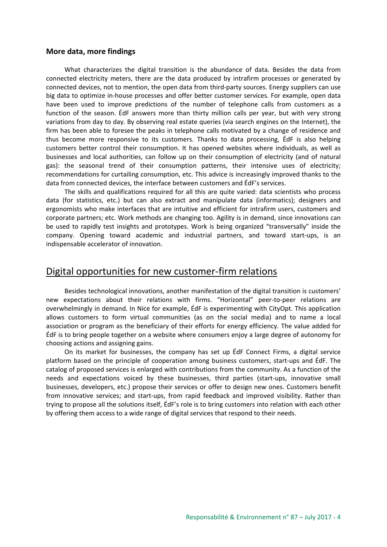### **More data, more findings**

What characterizes the digital transition is the abundance of data. Besides the data from connected electricity meters, there are the data produced by intrafirm processes or generated by connected devices, not to mention, the open data from third-party sources. Energy suppliers can use big data to optimize in-house processes and offer better customer services. For example, open data have been used to improve predictions of the number of telephone calls from customers as a function of the season. ÉdF answers more than thirty million calls per year, but with very strong variations from day to day. By observing real estate queries (via search engines on the Internet), the firm has been able to foresee the peaks in telephone calls motivated by a change of residence and thus become more responsive to its customers. Thanks to data processing, ÉdF is also helping customers better control their consumption. It has opened websites where individuals, as well as businesses and local authorities, can follow up on their consumption of electricity (and of natural gas): the seasonal trend of their consumption patterns, their intensive uses of electricity; recommendations for curtailing consumption, etc. This advice is increasingly improved thanks to the data from connected devices, the interface between customers and ÉdF's services.

The skills and qualifications required for all this are quite varied: data scientists who process data (for statistics, etc.) but can also extract and manipulate data (informatics); designers and ergonomists who make interfaces that are intuitive and efficient for intrafirm users, customers and corporate partners; etc. Work methods are changing too. Agility is in demand, since innovations can be used to rapidly test insights and prototypes. Work is being organized "transversally" inside the company. Opening toward academic and industrial partners, and toward start-ups, is an indispensable accelerator of innovation.

### Digital opportunities for new customer-firm relations

Besides technological innovations, another manifestation of the digital transition is customers' new expectations about their relations with firms. "Horizontal" peer-to-peer relations are overwhelmingly in demand. In Nice for example, ÉdF is experimenting with CityOpt. This application allows customers to form virtual communities (as on the social media) and to name a local association or program as the beneficiary of their efforts for energy efficiency. The value added for ÉdF is to bring people together on a website where consumers enjoy a large degree of autonomy for choosing actions and assigning gains.

On its market for businesses, the company has set up ÉdF Connect Firms, a digital service platform based on the principle of cooperation among business customers, start-ups and ÉdF. The catalog of proposed services is enlarged with contributions from the community. As a function of the needs and expectations voiced by these businesses, third parties (start-ups, innovative small businesses, developers, etc.) propose their services or offer to design new ones. Customers benefit from innovative services; and start-ups, from rapid feedback and improved visibility. Rather than trying to propose all the solutions itself, ÉdF's role is to bring customers into relation with each other by offering them access to a wide range of digital services that respond to their needs.